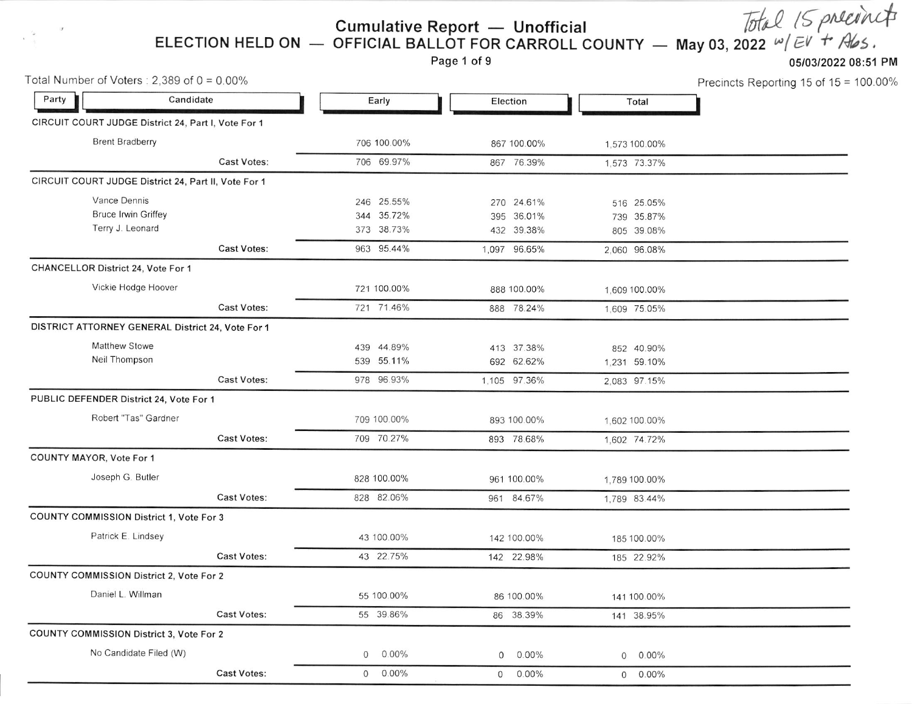**Cumulative Report** — Unofficial *Total IS polein*  $\pi$ <br>ELECTION HELD ON — OFFICIAL BALLOT FOR CARROLL COUNTY — May 03, 2022  $\omega$ / $\in$ V + A/s.<br>Page 1 of 9

Precincts Reporting 15 of 15 = 100.00%

| Total Number of Voters: $2,389$ of $0 = 0.00\%$      |                    |                            |                            |                     | Precincts Reporting 15 of 15 |
|------------------------------------------------------|--------------------|----------------------------|----------------------------|---------------------|------------------------------|
| Party<br>Candidate                                   |                    | Early                      | Election                   | Total               |                              |
| CIRCUIT COURT JUDGE District 24, Part I, Vote For 1  |                    |                            |                            |                     |                              |
| <b>Brent Bradberry</b>                               |                    | 706 100.00%                | 867 100.00%                | 1,573 100.00%       |                              |
|                                                      | <b>Cast Votes:</b> | 706 69.97%                 | 867 76.39%                 | 1,573 73.37%        |                              |
| CIRCUIT COURT JUDGE District 24, Part II, Vote For 1 |                    |                            |                            |                     |                              |
| Vance Dennis                                         |                    | 246 25.55%                 | 270 24.61%                 | 516 25.05%          |                              |
| <b>Bruce Irwin Griffey</b>                           |                    | 344 35.72%                 | 395 36.01%                 | 739 35.87%          |                              |
| Terry J. Leonard                                     |                    | 373 38.73%                 | 432 39.38%                 | 805 39.08%          |                              |
|                                                      | Cast Votes:        | 963 95.44%                 | 1,097 96.65%               | 2,060 96.08%        |                              |
| CHANCELLOR District 24, Vote For 1                   |                    |                            |                            |                     |                              |
| Vickie Hodge Hoover                                  |                    | 721 100.00%                | 888 100.00%                | 1,609 100.00%       |                              |
|                                                      | Cast Votes:        | 721 71.46%                 | 888 78.24%                 | 1,609 75.05%        |                              |
| DISTRICT ATTORNEY GENERAL District 24, Vote For 1    |                    |                            |                            |                     |                              |
| Matthew Stowe                                        |                    | 439 44.89%                 | 413 37.38%                 | 852 40.90%          |                              |
| Neil Thompson                                        |                    | 539 55.11%                 | 692 62.62%                 | 1,231 59.10%        |                              |
|                                                      | <b>Cast Votes:</b> | 978 96.93%                 | 1,105 97.36%               | 2.083 97.15%        |                              |
| PUBLIC DEFENDER District 24, Vote For 1              |                    |                            |                            |                     |                              |
| Robert "Tas" Gardner                                 |                    | 709 100.00%                | 893 100.00%                | 1,602 100.00%       |                              |
|                                                      | Cast Votes:        | 709 70.27%                 | 893 78.68%                 | 1,602 74.72%        |                              |
| COUNTY MAYOR, Vote For 1                             |                    |                            |                            |                     |                              |
| Joseph G. Butler                                     |                    | 828 100.00%                | 961 100.00%                | 1.789 100.00%       |                              |
|                                                      | <b>Cast Votes:</b> | 828 82.06%                 | 961 84.67%                 | 1,789 83.44%        |                              |
| <b>COUNTY COMMISSION District 1, Vote For 3</b>      |                    |                            |                            |                     |                              |
| Patrick E. Lindsey                                   |                    | 43 100.00%                 | 142 100.00%                | 185 100.00%         |                              |
|                                                      | <b>Cast Votes:</b> | 43 22.75%                  | 142 22.98%                 | 185 22.92%          |                              |
| COUNTY COMMISSION District 2, Vote For 2             |                    |                            |                            |                     |                              |
| Daniel L. Willman                                    |                    | 55 100.00%                 | 86 100.00%                 | 141 100.00%         |                              |
|                                                      | <b>Cast Votes:</b> | 55 39.86%                  | 86 38.39%                  | 141 38.95%          |                              |
| <b>COUNTY COMMISSION District 3, Vote For 2</b>      |                    |                            |                            |                     |                              |
| No Candidate Filed (W)                               |                    | $0.00\%$<br>0              | $0.00\%$<br>$\overline{O}$ | $0.00\%$<br>$\circ$ |                              |
|                                                      | Cast Votes:        | $\overline{0}$<br>$0.00\%$ | $0.00\%$<br>$\circ$        | $0 0.00\%$          |                              |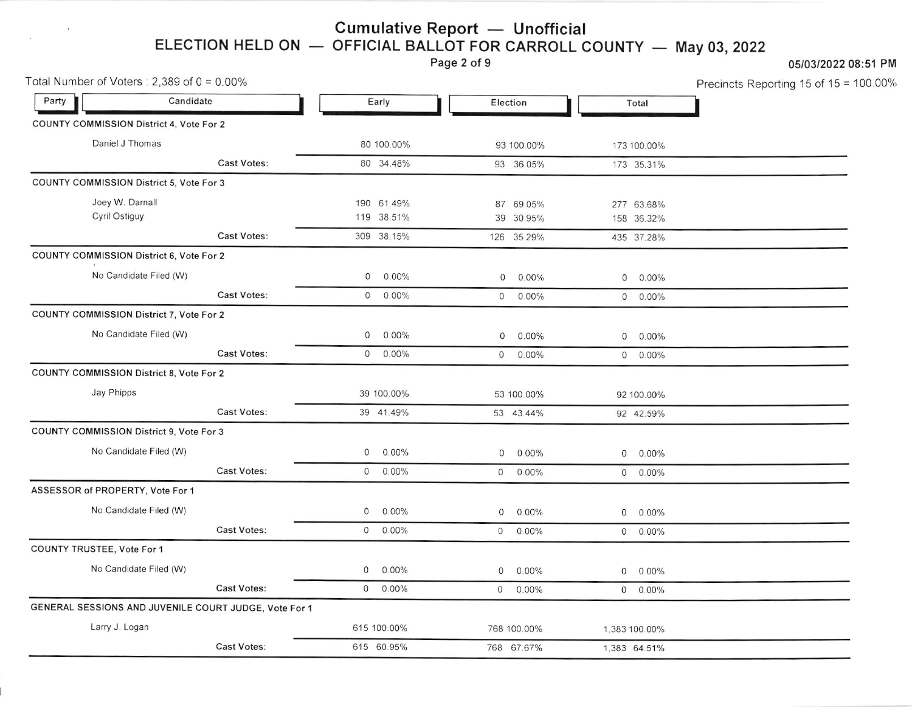## ELECTION HELD ON Cumulative Report — Unofficial<br>OFFICIAL BALLOT FOR CARROLL ( OFFICIAL BALLOT FOR CARROLL COUNTY — May 03, 2022

Page 2 of 9

 $\alpha$ 

# 05/03/2022 08:51 PM

Precincts Reporting 15 of 15 = 100.00%

| Total Number of Voters: $2,389$ of $0 = 0.00\%$ |                        |                                                       |            |             |                |              |            | Precincts Reporting 15 of 15 = |  |
|-------------------------------------------------|------------------------|-------------------------------------------------------|------------|-------------|----------------|--------------|------------|--------------------------------|--|
| Party                                           | Candidate              |                                                       | Early      |             |                | Election     |            | Total                          |  |
| COUNTY COMMISSION District 4, Vote For 2        |                        |                                                       |            |             |                |              |            |                                |  |
| Daniel J Thomas                                 |                        |                                                       |            | 80 100.00%  |                | 93 100.00%   |            | 173 100.00%                    |  |
|                                                 |                        | Cast Votes:                                           |            | 80 34.48%   |                | 93 36.05%    |            | 173 35.31%                     |  |
| <b>COUNTY COMMISSION District 5, Vote For 3</b> |                        |                                                       |            |             |                |              |            |                                |  |
| Joey W. Darnall                                 |                        |                                                       |            | 190 61.49%  |                | 87 69.05%    |            | 277 63.68%                     |  |
|                                                 | Cyril Ostiguy          |                                                       |            | 119 38.51%  |                | 39 30.95%    |            | 158 36.32%                     |  |
|                                                 | Cast Votes:            |                                                       | 309 38.15% |             | 126 35.29%     |              | 435 37.28% |                                |  |
| COUNTY COMMISSION District 6, Vote For 2        |                        |                                                       |            |             |                |              |            |                                |  |
|                                                 | No Candidate Filed (W) |                                                       | 0          | $0.00\%$    | $\mathbf 0$    | $0.00\%$     |            | $0.00\%$                       |  |
|                                                 |                        | Cast Votes:                                           |            | $0.00\%$    | $\overline{0}$ | $0.00\%$     |            | $0 0.00\%$                     |  |
| COUNTY COMMISSION District 7, Vote For 2        |                        |                                                       |            |             |                |              |            |                                |  |
| No Candidate Filed (W)                          |                        |                                                       | $0.00\%$   | $\mathbf 0$ | $0.00\%$       |              | $0.00\%$   |                                |  |
|                                                 |                        | <b>Cast Votes:</b>                                    | $\circ$    | $0.00\%$    | $\overline{O}$ | $0.00\%$     |            | $0 0.00\%$                     |  |
| <b>COUNTY COMMISSION District 8, Vote For 2</b> |                        |                                                       |            |             |                |              |            |                                |  |
| Jay Phipps                                      |                        |                                                       |            | 39 100.00%  |                | 53 100.00%   |            | 92 100.00%                     |  |
|                                                 |                        | Cast Votes:                                           |            | 39 41.49%   |                | 53 43.44%    |            | 92 42.59%                      |  |
| COUNTY COMMISSION District 9, Vote For 3        |                        |                                                       |            |             |                |              |            |                                |  |
|                                                 | No Candidate Filed (W) |                                                       | $\circ$    | $0.00\%$    | $\overline{O}$ | $0.00\%$     |            | $0.00\%$                       |  |
|                                                 |                        | <b>Cast Votes:</b>                                    |            | $0 0.00\%$  |                | $0.00\%$     |            | $0.00\%$                       |  |
| ASSESSOR of PROPERTY, Vote For 1                |                        |                                                       |            |             |                |              |            |                                |  |
| No Candidate Filed (W)                          |                        | 0                                                     | $0.00\%$   | 0           | $0.00\%$       | $\mathsf{O}$ | $0.00\%$   |                                |  |
|                                                 |                        | <b>Cast Votes:</b>                                    |            | $0.00\%$    |                | $0 0.00\%$   |            | $0 0.00\%$                     |  |
| COUNTY TRUSTEE, Vote For 1                      |                        |                                                       |            |             |                |              |            |                                |  |
|                                                 | No Candidate Filed (W) |                                                       |            | $0.00\%$    | $\circ$        | $0.00\%$     |            | $0 0.00\%$                     |  |
|                                                 |                        | <b>Cast Votes:</b>                                    |            | $0.00\%$    | $\overline{O}$ | 0.00%        |            | $0.00\%$                       |  |
|                                                 |                        | GENERAL SESSIONS AND JUVENILE COURT JUDGE, Vote For 1 |            |             |                |              |            |                                |  |
| Larry J. Logan                                  |                        |                                                       |            | 615 100.00% |                | 768 100.00%  |            | 1,383 100.00%                  |  |
|                                                 |                        | <b>Cast Votes:</b>                                    |            | 615 60.95%  |                | 768 67.67%   |            | 1,383 64.51%                   |  |